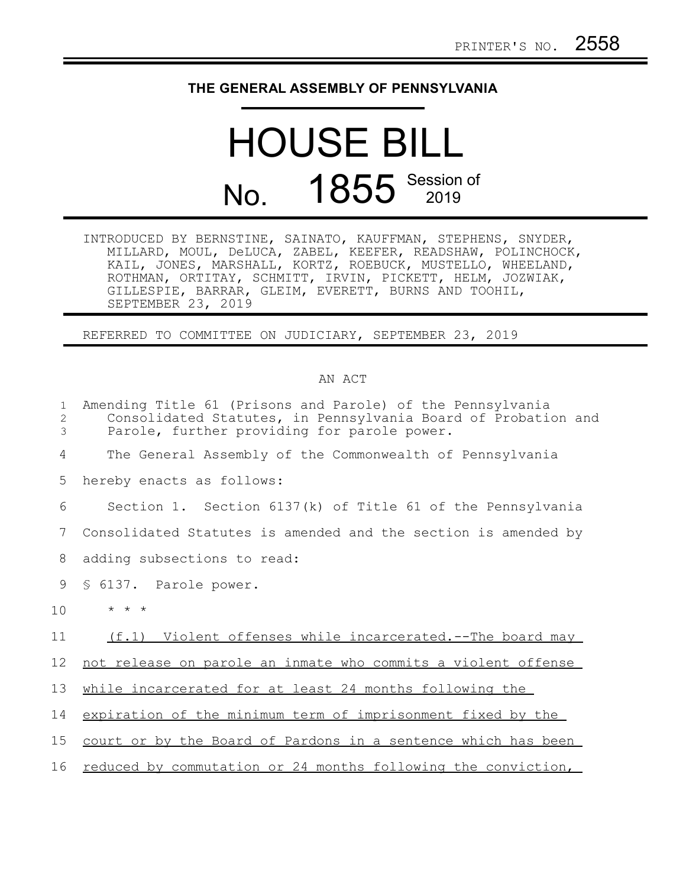## **THE GENERAL ASSEMBLY OF PENNSYLVANIA**

## HOUSE BILL No. 1855 Session of

INTRODUCED BY BERNSTINE, SAINATO, KAUFFMAN, STEPHENS, SNYDER, MILLARD, MOUL, DeLUCA, ZABEL, KEEFER, READSHAW, POLINCHOCK, KAIL, JONES, MARSHALL, KORTZ, ROEBUCK, MUSTELLO, WHEELAND, ROTHMAN, ORTITAY, SCHMITT, IRVIN, PICKETT, HELM, JOZWIAK, GILLESPIE, BARRAR, GLEIM, EVERETT, BURNS AND TOOHIL, SEPTEMBER 23, 2019

REFERRED TO COMMITTEE ON JUDICIARY, SEPTEMBER 23, 2019

## AN ACT

| $\mathbf{1}$<br>2<br>3 | Amending Title 61 (Prisons and Parole) of the Pennsylvania<br>Consolidated Statutes, in Pennsylvania Board of Probation and<br>Parole, further providing for parole power. |
|------------------------|----------------------------------------------------------------------------------------------------------------------------------------------------------------------------|
| 4                      | The General Assembly of the Commonwealth of Pennsylvania                                                                                                                   |
| 5                      | hereby enacts as follows:                                                                                                                                                  |
| 6                      | Section 1. Section $6137(k)$ of Title 61 of the Pennsylvania                                                                                                               |
| 7                      | Consolidated Statutes is amended and the section is amended by                                                                                                             |
| 8                      | adding subsections to read:                                                                                                                                                |
| 9                      | § 6137. Parole power.                                                                                                                                                      |
| 10                     | $\star$ $\star$ $\star$                                                                                                                                                    |
| 11                     | (f.1) Violent offenses while incarcerated.--The board may                                                                                                                  |
| 12                     | not release on parole an inmate who commits a violent offense                                                                                                              |
| 13                     | while incarcerated for at least 24 months following the                                                                                                                    |
| 14                     | expiration of the minimum term of imprisonment fixed by the                                                                                                                |
| 15                     | court or by the Board of Pardons in a sentence which has been                                                                                                              |
| 16                     | reduced by commutation or 24 months following the conviction,                                                                                                              |
|                        |                                                                                                                                                                            |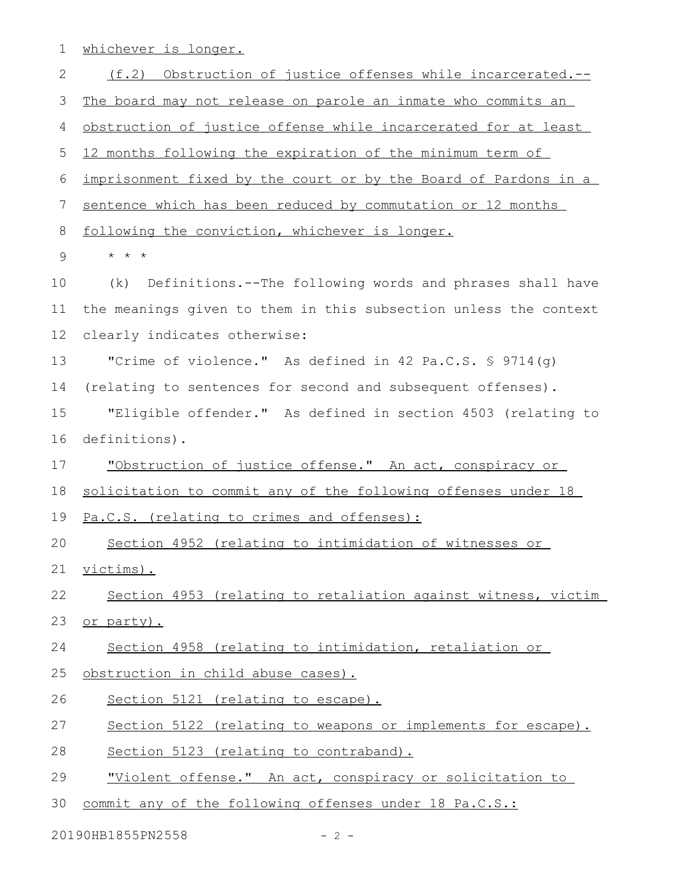whichever is longer. 1

(f.2) Obstruction of justice offenses while incarcerated.-- The board may not release on parole an inmate who commits an obstruction of justice offense while incarcerated for at least 12 months following the expiration of the minimum term of imprisonment fixed by the court or by the Board of Pardons in a sentence which has been reduced by commutation or 12 months following the conviction, whichever is longer. \* \* \* (k) Definitions.--The following words and phrases shall have the meanings given to them in this subsection unless the context clearly indicates otherwise: "Crime of violence." As defined in 42 Pa.C.S.  $\frac{1}{5}$  9714(q) (relating to sentences for second and subsequent offenses). "Eligible offender." As defined in section 4503 (relating to definitions). "Obstruction of justice offense." An act, conspiracy or solicitation to commit any of the following offenses under 18 Pa.C.S. (relating to crimes and offenses): Section 4952 (relating to intimidation of witnesses or victims). Section 4953 (relating to retaliation against witness, victim or party). Section 4958 (relating to intimidation, retaliation or obstruction in child abuse cases). Section 5121 (relating to escape). Section 5122 (relating to weapons or implements for escape). Section 5123 (relating to contraband). "Violent offense." An act, conspiracy or solicitation to commit any of the following offenses under 18 Pa.C.S.: 2 3 4 5 6 7 8 9 10 11 12 13 14 15 16 17 18 19 20 21 22 23 24 25 26 27 28 29 30

20190HB1855PN2558 - 2 -